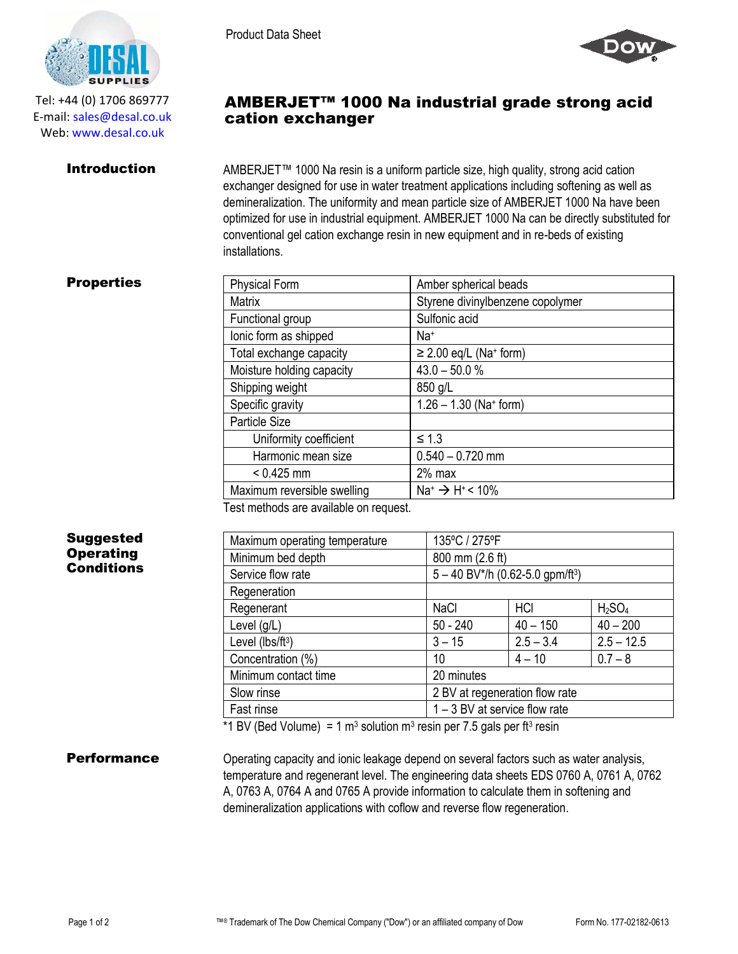

Tel: +44 (0) 1706 869777 E‐mail: sales@desal.co.uk Web: www.desal.co.uk

**Introduction** AMBERJET<sup>™</sup> 1000 Na resin is a uniform particle size, high quality, strong acid cation exchanger designed for use in water treatment applications including softening as well as demineralization. The uniformity and mean particle size of AMBERJET 1000 Na have been optimized for use in industrial equipment. AMBERJET 1000 Na can be directly substituted for conventional gel cation exchange resin in new equipment and in re-beds of existing installations.

AMBERJET™ 1000 Na industrial grade strong acid

# **Properties**

| <b>Physical Form</b>        | Amber spherical beads                     |  |  |
|-----------------------------|-------------------------------------------|--|--|
| <b>Matrix</b>               | Styrene divinylbenzene copolymer          |  |  |
| Functional group            | Sulfonic acid                             |  |  |
| lonic form as shipped       | Na <sup>+</sup>                           |  |  |
| Total exchange capacity     | $\geq$ 2.00 eq/L (Na <sup>+</sup> form)   |  |  |
| Moisture holding capacity   | $43.0 - 50.0 %$                           |  |  |
| Shipping weight             | 850 g/L                                   |  |  |
| Specific gravity            | $1.26 - 1.30$ (Na+ form)                  |  |  |
| Particle Size               |                                           |  |  |
| Uniformity coefficient      | $\leq 1.3$                                |  |  |
| Harmonic mean size          | $0.540 - 0.720$ mm                        |  |  |
| $< 0.425$ mm                | $2%$ max                                  |  |  |
| Maximum reversible swelling | $Na^+$ $\rightarrow$ H <sup>+</sup> < 10% |  |  |
|                             |                                           |  |  |

Test methods are available on request.

Product Data Sheet

cation exchanger

## Suggested **Operating Conditions**

| Maximum operating temperature | 135°C / 275°F                                  |             |                                |  |
|-------------------------------|------------------------------------------------|-------------|--------------------------------|--|
| Minimum bed depth             | 800 mm (2.6 ft)                                |             |                                |  |
| Service flow rate             | $5 - 40$ BV*/h (0.62-5.0 gpm/ft <sup>3</sup> ) |             |                                |  |
| Regeneration                  |                                                |             |                                |  |
| Regenerant                    | <b>NaCl</b>                                    | <b>HCI</b>  | H <sub>2</sub> SO <sub>4</sub> |  |
| Level $(g/L)$                 | $50 - 240$                                     | $40 - 150$  | $40 - 200$                     |  |
| Level (lbs/ft <sup>3</sup> )  | $3 - 15$                                       | $2.5 - 3.4$ | $2.5 - 12.5$                   |  |
| Concentration (%)             | 10                                             | $4 - 10$    | $0.7 - 8$                      |  |
| Minimum contact time          | 20 minutes                                     |             |                                |  |
| Slow rinse                    | 2 BV at regeneration flow rate                 |             |                                |  |
| Fast rinse                    | $1 - 3$ BV at service flow rate                |             |                                |  |
|                               |                                                |             |                                |  |

\*1 BV (Bed Volume) = 1 m<sup>3</sup> solution m<sup>3</sup> resin per 7.5 gals per ft<sup>3</sup> resin

**Performance** Operating capacity and ionic leakage depend on several factors such as water analysis, temperature and regenerant level. The engineering data sheets EDS 0760 A, 0761 A, 0762 A, 0763 A, 0764 A and 0765 A provide information to calculate them in softening and demineralization applications with coflow and reverse flow regeneration.